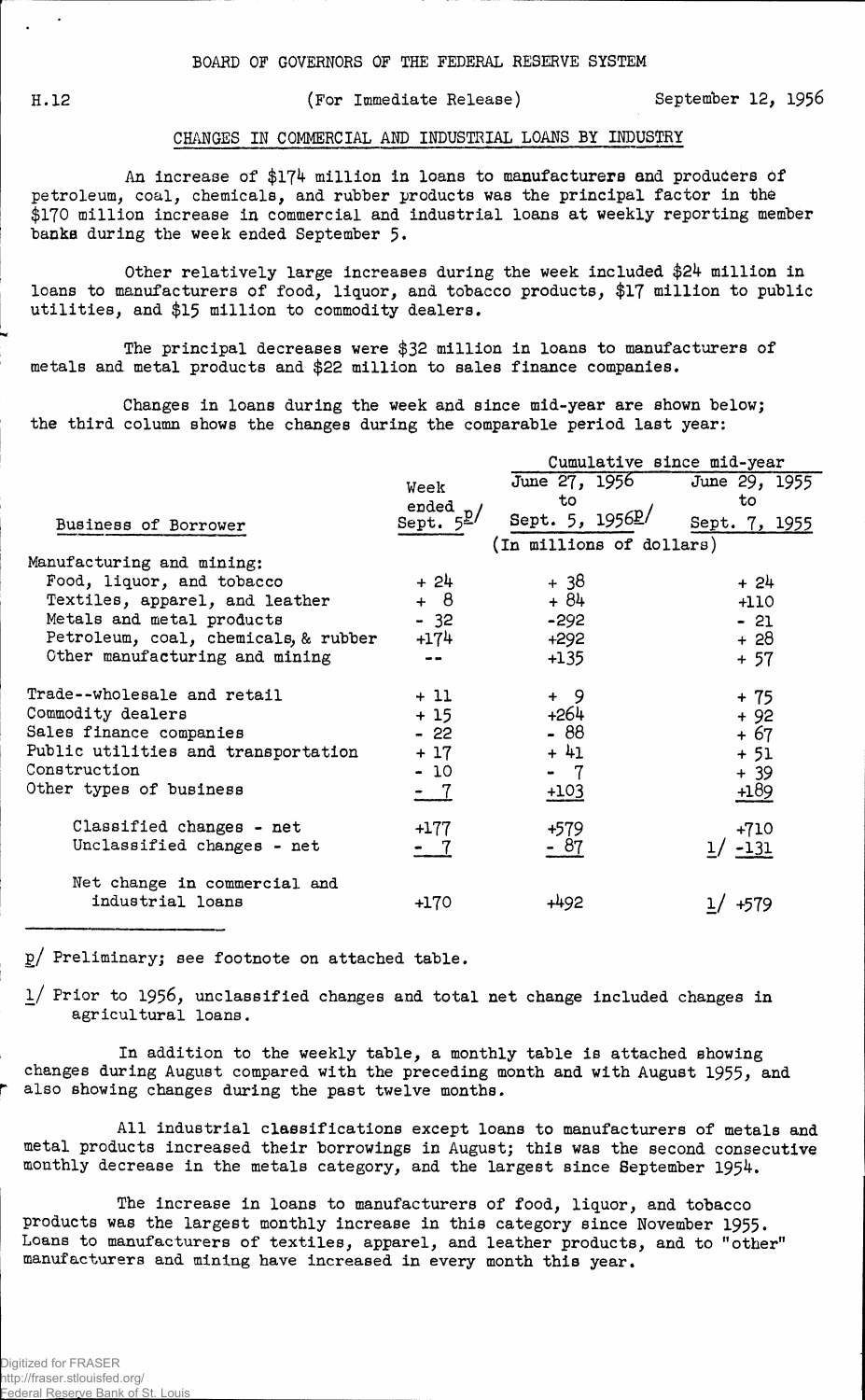## H.12 (For Immediate Release) September 12, 1956

## CHANGES IN COMMERCIAL AMD INDUSTRIAL LOANS BY INDUSTRY

An increase of \$174 million in loans to manufacturers and producers Of petroleum, coal, chemicals, and rubber products was the principal factor in the \$170 million increase in commercial and industrial loans at weekly reporting member banks during the week ended September 5.

Other relatively large increases during the week included \$24 million in loans to manufacturers of food, liquor, and tobacco products, \$17 million to public utilities, and \$15 million to commodity dealers.

The principal decreases were \$32 million in loans to manufacturers of metals and metal products and \$22 million to sales finance companies.

Changes in loans during the week and since mid-year are shown below; the third column shows the changes during the comparable period last year:

|                                      |                                    | Cumulative since mid-year                   |                     |  |  |  |  |
|--------------------------------------|------------------------------------|---------------------------------------------|---------------------|--|--|--|--|
|                                      | Week                               | June 27, 1956<br>to                         | June 29, 1955<br>to |  |  |  |  |
| Business of Borrower                 | ended<br>Sept. $5^{\underline{p}}$ | Sept. 5, 1956P/<br>(In millions of dollars) | Sept. 7, 1955       |  |  |  |  |
| Manufacturing and mining:            |                                    |                                             |                     |  |  |  |  |
| Food, liquor, and tobacco            | $+24$                              | + 38                                        | $+24$               |  |  |  |  |
| Textiles, apparel, and leather       | + 8                                | $+84$                                       | $+110$              |  |  |  |  |
| Metals and metal products            | $-32$                              | $-292$                                      | - 21                |  |  |  |  |
| Petroleum, coal, chemicals, & rubber | +174                               | $+292$                                      | $+28$               |  |  |  |  |
| Other manufacturing and mining       | $\sim$ $\sim$                      | $+135$                                      | $+57$               |  |  |  |  |
| Trade--wholesale and retail          | $+11$                              | $+ 9$                                       | + 75                |  |  |  |  |
| Commodity dealers                    | $+15$                              | +264                                        | $+92$               |  |  |  |  |
| Sales finance companies              | $-22$                              | $-88$                                       | + 67                |  |  |  |  |
| Public utilities and transportation  | $+17$                              | $+41$                                       | $+51$               |  |  |  |  |
| Construction                         | $-10$                              | - 7                                         | $+ 39$              |  |  |  |  |
| Other types of business              | $-7$                               | $+103$                                      | $+189$              |  |  |  |  |
| Classified changes - net             | $+177$                             | $+579$                                      | $+710$              |  |  |  |  |
| Unclassified changes - net           | - 7                                | - 87                                        | $-131$              |  |  |  |  |
| Net change in commercial and         |                                    |                                             |                     |  |  |  |  |
| industrial loans                     | $+170$                             | +492                                        | +579                |  |  |  |  |

g/ Preliminary; see footnote on attached table.

l/ Prior to 1956, unclassified changes and total net change included changes in agricultural loans.

In addition to the weekly table, a monthly table is attached showing changes during August compared with the preceding month and with August 1955, and also showing changes during the past twelve months.

All industrial classifications except loans to manufacturers of metals and metal products increased their borrowings in August; this was the second consecutive monthly decrease in the metals category, and the largest since September 1954.

The increase in loans to manufacturers of food, liquor, and tobacco products was the largest monthly increase in this category since November 1955. Loans to manufacturers of textiles, apparel, and leather products, and to "other" manufacturers and mining have increased in every month this year.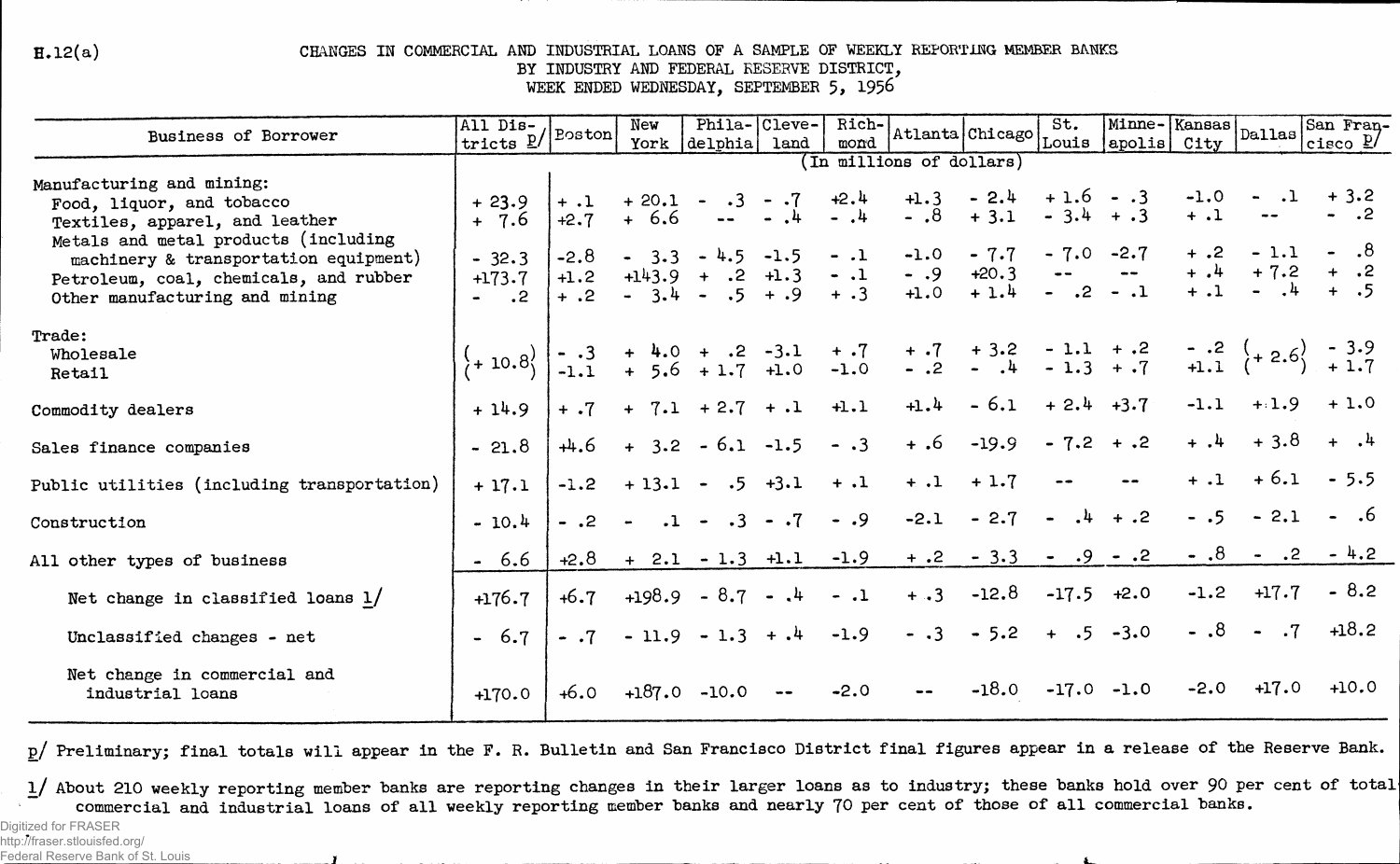$H.12(a)$ 

## CHANGES IN COMMERCIAL AND INDUSTRIAL LOANS OF A SAMPLE OF WEEKLY REPORTING MEMBER BANKS BY INDUSTRY AND FEDERAL RESERVE DISTRICT, WEEK ENDED WEDNESDAY, SEPTEMBER 5, 1956

| Business of Borrower                                                   | All Dis-<br>tricts $\underline{\mathbb{P}}$                    | Boston        | New    |                                                          | Phila- Cleve- | Rich-<br>mond   | Atlanta Chicago                                                                                                                               |                                  | St.                        | Minne-Kansas | City                | $ $ Dallas $ $ | San Fran-<br>cisco $\underline{\mathfrak{p}}$ |
|------------------------------------------------------------------------|----------------------------------------------------------------|---------------|--------|----------------------------------------------------------|---------------|-----------------|-----------------------------------------------------------------------------------------------------------------------------------------------|----------------------------------|----------------------------|--------------|---------------------|----------------|-----------------------------------------------|
|                                                                        | Louis  apolis <br>York delphia land<br>In millions of dollars) |               |        |                                                          |               |                 |                                                                                                                                               |                                  |                            |              |                     |                |                                               |
| Manufacturing and mining:                                              |                                                                |               |        |                                                          |               |                 |                                                                                                                                               |                                  |                            |              |                     |                | $+3.2$                                        |
| Food, liquor, and tobacco                                              | $+23.9$<br>$+ 7.6$                                             | $+2.7$        | $+6.6$ | $+ .1 + 20.1 - .3 - .7$<br>$\blacksquare$ $\blacksquare$ | $-1$          | $+2.4$<br>$-14$ | $+1.3$<br>$- .8$                                                                                                                              | $-2.4$<br>$+3.1$                 | $+1.6 - .3$<br>$-3.4 + .3$ |              | $-1.0$<br>$+ 1$     |                |                                               |
| Textiles, apparel, and leather<br>Metals and metal products (including |                                                                |               |        |                                                          |               |                 |                                                                                                                                               |                                  |                            |              |                     |                |                                               |
| machinery & transportation equipment)                                  | $-32.3$                                                        | $-2.8$        |        | $-3.3 - 4.5 - 1.5$                                       |               | $-.1$           | $-1.0$                                                                                                                                        | $-7.7$                           |                            | $-7.0 -2.7$  | $+ .2$              | $-1.1$         | - .8                                          |
| Petroleum, coal, chemicals, and rubber                                 | $+173.7$                                                       | $+1.2$        |        | $+143.9 + .2 +1.3$                                       |               | $-.1$           | $- .9$                                                                                                                                        | $+20.3$ -- --<br>+ 1.4 - .2 - .1 |                            |              | $+$ , 4             | $+7.2$         | $+$<br>$+$                                    |
| Other manufacturing and mining                                         | $ \cdot$ 2                                                     | $+$ .2        |        | $-3.4 - .5 + .9$                                         |               | $+ .3$          | $+1.0$                                                                                                                                        |                                  |                            |              |                     |                |                                               |
| Trade:                                                                 |                                                                |               |        |                                                          |               |                 |                                                                                                                                               |                                  |                            |              |                     |                |                                               |
| Wholesale                                                              | $\frac{(1 + 10.8)}{10.8}$                                      |               |        |                                                          |               |                 | $-3 + 4.0 + .2 -3.1 + .7 + .7 + 3.2 -1.1 + .2 - .2 + 2.5 - 3.9$<br>$-1.1 + 5.6 + 1.7 + 1.0 -1.0 - .2 - .4 - 1.3 + .7 + 1.1 + 2.6 + 1.7 + 1.7$ |                                  |                            |              |                     |                |                                               |
| Retail                                                                 |                                                                |               |        |                                                          |               |                 |                                                                                                                                               |                                  |                            |              |                     |                |                                               |
| Commodity dealers                                                      | $+14.9$                                                        | $+$ $\cdot 7$ |        | $+ 7.1 + 2.7 + .1$                                       |               | $+1.1$          | $+1.4$                                                                                                                                        | $-6.1$                           | $+2.4$ $+3.7$              |              | $-1.1$              |                | $+1.9 + 1.0$                                  |
| Sales finance companies                                                | $-21.8$                                                        | $+4.6$        |        | $+3.2 - 6.1 - 1.5$                                       |               | $- .3$          | $+ .6$                                                                                                                                        | $-19.9$                          | $-7.2 + .2$                |              | $+$ $\cdot$ $\cdot$ | $+3.8$         |                                               |
| Public utilities (including transportation)                            | $+17.1$                                                        | $-1.2$        |        | $+13.1 - .5 +3.1$                                        |               | $+ .1$          | $+ .1$                                                                                                                                        | $+1.7$                           |                            |              | $+ .1$              | $+6.1$         | $-5.5$                                        |
| Construction                                                           | $-10.4$                                                        | $-.2$         | $\sim$ | $.1 - .3 - .7$                                           |               | $-.9$           | $-2.1$                                                                                                                                        | $-2.7$                           | $-4 + .2$                  |              | $-.5$               | $-2.1$         |                                               |
| All other types of business                                            | $-6.6$                                                         | $+2.8$        |        | $+ 2.1 - 1.3 +1.1$                                       |               | $-1.9$          |                                                                                                                                               | $+.2 - 3.3$                      | .9<br>$\bullet$            | $-.2$        | $-.8$               | $-$ .2         | $-4.2$                                        |
| Net change in classified loans $1/$                                    | $+176.7$                                                       | $+6.7$        |        | $+198.9 - 8.7 - 14$                                      |               | $-.1$           | $+ .3$                                                                                                                                        | $-12.8$                          | $-17.5$ $+2.0$             |              | $-1.2$              | $+17.7$        | $-8.2$                                        |
| Unclassified changes - net                                             | $-6.7$                                                         | $-.7$         |        | $-11.9 - 1.3 + .4$                                       |               | $-1.9$          | $- .3$                                                                                                                                        | $-5.2$                           |                            | $+ 0.5 -3.0$ |                     | $-.8 - .7$     | $+18.2$                                       |
| Net change in commercial and<br>industrial loans                       | $+170.0$                                                       |               |        | $+6.0 +187.0 -10.0$                                      |               | $-2.0$          | $\bullet\,\bullet$                                                                                                                            | $-18.0$                          |                            | $-17.0 -1.0$ | $-2.0$              | $+17.0$        | $+10.0$                                       |

p/ Preliminary; final totals will appear in the F. R. Bulletin and San Francisco District final figures appear in a release of the Reserve Bank.

1/ About 210 weekly reporting member banks are reporting changes in their larger loans as to industry; these banks hold over 90 per cent of total commercial and industrial loans of all weekly reporting member banks and nearly 70 per cent of those of all commercial banks.

Digitized for FRASER http://fraser.stlouisfed.org/

Federal Reserve Bank of St. Louis  $\mathbf{r}$